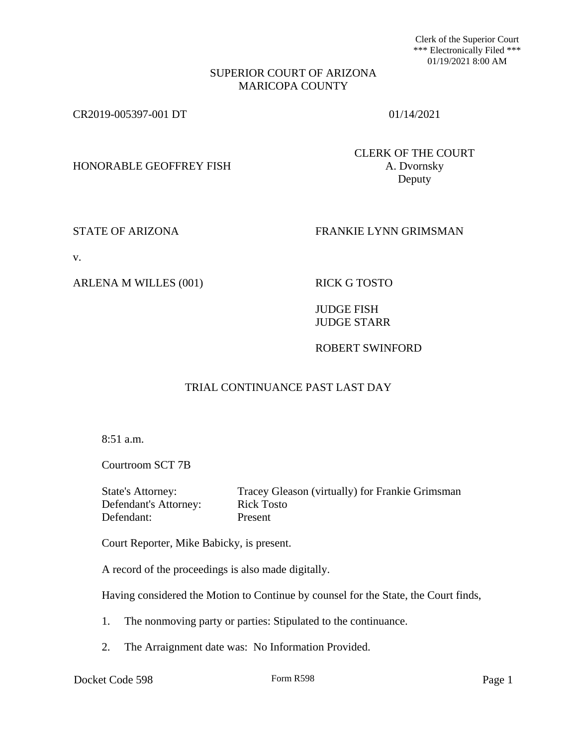Clerk of the Superior Court \*\*\* Electronically Filed \*\*\* 01/19/2021 8:00 AM

#### SUPERIOR COURT OF ARIZONA MARICOPA COUNTY

CR2019-005397-001 DT 01/14/2021

HONORABLE GEOFFREY FISH A. Dvornsky

CLERK OF THE COURT Deputy

# STATE OF ARIZONA FRANKIE LYNN GRIMSMAN

v.

ARLENA M WILLES (001) RICK G TOSTO

JUDGE FISH JUDGE STARR

ROBERT SWINFORD

# TRIAL CONTINUANCE PAST LAST DAY

8:51 a.m.

Courtroom SCT 7B

Defendant's Attorney: Rick Tosto Defendant: Present

State's Attorney: Tracey Gleason (virtually) for Frankie Grimsman

Court Reporter, Mike Babicky, is present.

A record of the proceedings is also made digitally.

Having considered the Motion to Continue by counsel for the State, the Court finds,

- 1. The nonmoving party or parties: Stipulated to the continuance.
- 2. The Arraignment date was: No Information Provided.

Docket Code 598 Form R598 Form R598 Page 1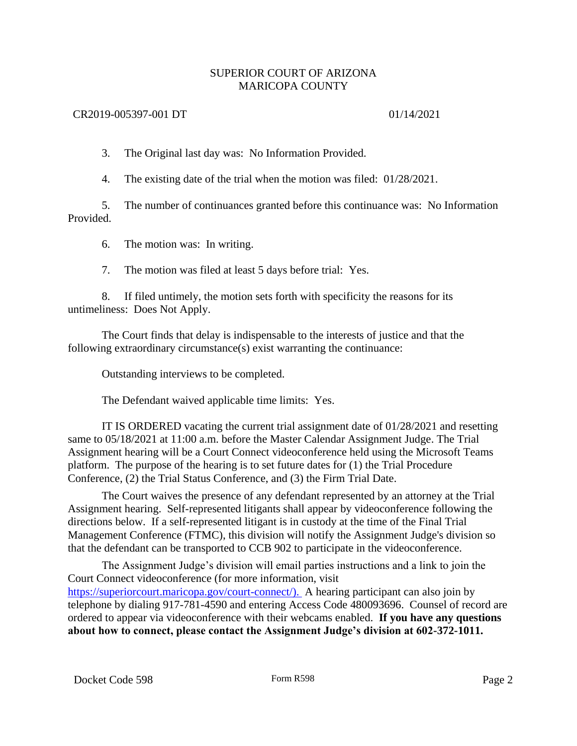# SUPERIOR COURT OF ARIZONA MARICOPA COUNTY

### CR2019-005397-001 DT 01/14/2021

3. The Original last day was: No Information Provided.

4. The existing date of the trial when the motion was filed: 01/28/2021.

5. The number of continuances granted before this continuance was: No Information Provided.

6. The motion was: In writing.

7. The motion was filed at least 5 days before trial: Yes.

8. If filed untimely, the motion sets forth with specificity the reasons for its untimeliness: Does Not Apply.

The Court finds that delay is indispensable to the interests of justice and that the following extraordinary circumstance(s) exist warranting the continuance:

Outstanding interviews to be completed.

The Defendant waived applicable time limits: Yes.

IT IS ORDERED vacating the current trial assignment date of 01/28/2021 and resetting same to 05/18/2021 at 11:00 a.m. before the Master Calendar Assignment Judge. The Trial Assignment hearing will be a Court Connect videoconference held using the Microsoft Teams platform. The purpose of the hearing is to set future dates for (1) the Trial Procedure Conference, (2) the Trial Status Conference, and (3) the Firm Trial Date.

The Court waives the presence of any defendant represented by an attorney at the Trial Assignment hearing. Self-represented litigants shall appear by videoconference following the directions below. If a self-represented litigant is in custody at the time of the Final Trial Management Conference (FTMC), this division will notify the Assignment Judge's division so that the defendant can be transported to CCB 902 to participate in the videoconference.

The Assignment Judge's division will email parties instructions and a link to join the Court Connect videoconference (for more information, visit [https://superiorcourt.maricopa.gov/court-connect/\).](https://superiorcourt.maricopa.gov/court-connect/).) A hearing participant can also join by telephone by dialing 917-781-4590 and entering Access Code 480093696. Counsel of record are ordered to appear via videoconference with their webcams enabled. **If you have any questions about how to connect, please contact the Assignment Judge's division at 602-372-1011.**